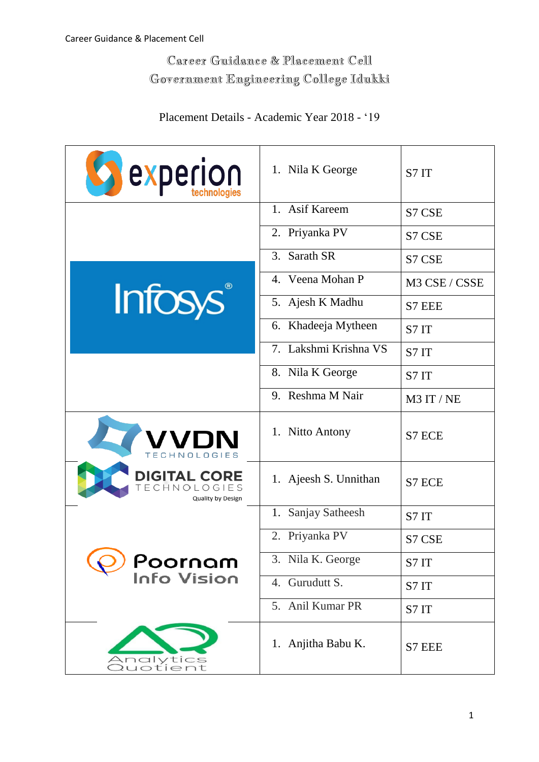## Career Guidance & Placement Cell Government Engineering College Idukki

| <b>S</b> experion                                        | 1. Nila K George      | S7 IT         |
|----------------------------------------------------------|-----------------------|---------------|
|                                                          | 1. Asif Kareem        | S7 CSE        |
|                                                          | 2. Priyanka PV        | S7 CSE        |
|                                                          | 3. Sarath SR          | S7 CSE        |
|                                                          | 4. Veena Mohan P      | M3 CSE / CSSE |
| <b>Infosys</b>                                           | 5. Ajesh K Madhu      | S7 EEE        |
|                                                          | 6. Khadeeja Mytheen   | S7 IT         |
|                                                          | 7. Lakshmi Krishna VS | S7IT          |
|                                                          | 8. Nila K George      | S7 IT         |
|                                                          | 9. Reshma M Nair      | M3 IT / NE    |
| <b>VDN</b><br>ECHNOLOGIES                                | 1. Nitto Antony       | S7 ECE        |
| <b>DIGITAL CORE</b><br>TECHNOLOGIES<br>Quality by Design | 1. Ajeesh S. Unnithan | S7 ECE        |
|                                                          | 1. Sanjay Satheesh    | S7IT          |
|                                                          | 2. Priyanka PV        | S7 CSE        |
| <b>Poornam</b><br>Info Vision                            | 3. Nila K. George     | S7IT          |
|                                                          | 4. Gurudutt S.        | S7 IT         |
|                                                          | 5. Anil Kumar PR      | S7 IT         |

## Placement Details - Academic Year 2018 - '19



1. Anjitha Babu K.  $\big|$  S7 EEE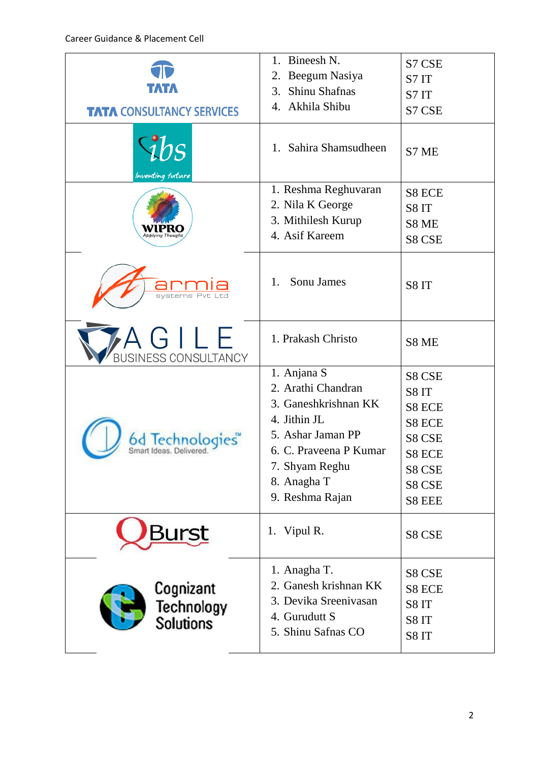| <b>TATA CONSULTANCY SERVICES</b><br>$1b$ s             | Bineesh N.<br>1.<br>Beegum Nasiya<br>2.<br>Shinu Shafnas<br>3.<br>Akhila Shibu<br>4.<br>Sahira Shamsudheen<br>$1_{-}$                                                        | S7 CSE<br>S7 IT<br>S7 IT<br>S7 CSE<br>S7 ME                                          |
|--------------------------------------------------------|------------------------------------------------------------------------------------------------------------------------------------------------------------------------------|--------------------------------------------------------------------------------------|
| Inventing future<br>Applying Thoug                     | 1. Reshma Reghuvaran<br>2. Nila K George<br>3. Mithilesh Kurup<br>4. Asif Kareem                                                                                             | S8 ECE<br>S8IT<br>S8 ME<br>S8 CSE                                                    |
| svstems<br>A G I L E                                   | Sonu James<br>1.<br>1. Prakash Christo                                                                                                                                       | S8IT<br>S8 ME                                                                        |
| <b>BUSINESS CONSULTANCY</b><br>Smart Ideas, Delivered. | 1. Anjana S<br>2. Arathi Chandran<br>3. Ganeshkrishnan KK<br>4. Jithin JL<br>5. Ashar Jaman PP<br>6. C. Praveena P Kumar<br>7. Shyam Reghu<br>8. Anagha T<br>9. Reshma Rajan | S8 CSE<br>S8IT<br>S8 ECE<br>S8 ECE<br>S8 CSE<br>S8 ECE<br>S8 CSE<br>S8 CSE<br>S8 EEE |
| <b>Surst</b>                                           | 1. Vipul R.                                                                                                                                                                  | S8 CSE                                                                               |
| Cognizant<br>Technology<br>Solutions                   | 1. Anagha T.<br>2. Ganesh krishnan KK<br>3. Devika Sreenivasan<br>4. Gurudutt S<br>5. Shinu Safnas CO                                                                        | S8 CSE<br><b>S8 ECE</b><br>S8IT<br>S8IT<br>S8IT                                      |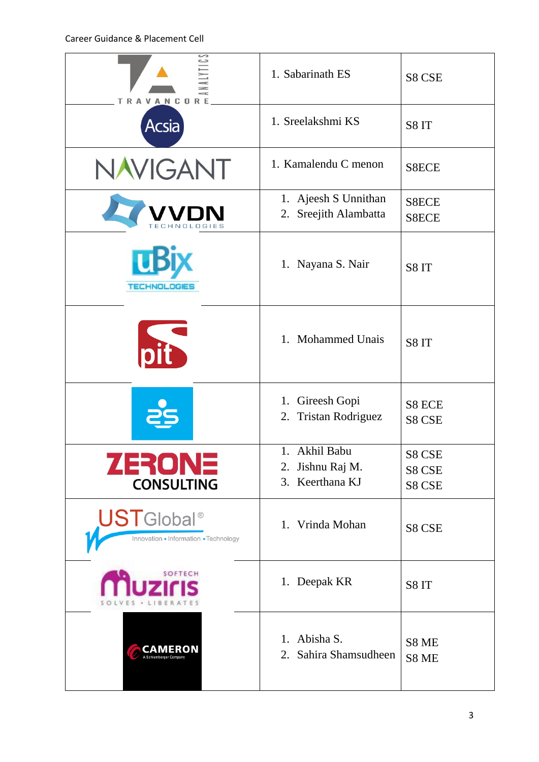| <b>TRAVANCORE</b>                                                       | 1. Sabarinath ES                                     | S8 CSE           |  |
|-------------------------------------------------------------------------|------------------------------------------------------|------------------|--|
| <b>Acsia</b>                                                            | 1. Sreelakshmi KS                                    | S8IT             |  |
| <b>NAVIGANT</b>                                                         | 1. Kamalendu C menon                                 | S8ECE            |  |
| TECHNOLOGIES                                                            | 1. Ajeesh S Unnithan<br>2. Sreejith Alambatta        | S8ECE<br>S8ECE   |  |
| <b>TECHNOLOGIES</b>                                                     | Nayana S. Nair<br>1.                                 | S8IT<br>S8IT     |  |
| nit                                                                     | 1. Mohammed Unais                                    |                  |  |
|                                                                         | Gireesh Gopi<br>1.<br><b>Tristan Rodriguez</b><br>2. | S8 ECE<br>S8 CSE |  |
| ZERONE                                                                  | 1. Akhil Babu<br>2. Jishnu Raj M.                    | S8 CSE<br>S8 CSE |  |
| <b>CONSULTING</b>                                                       | 3. Keerthana KJ                                      | S8 CSE           |  |
| <b>UST</b> Global <sup>®</sup><br>Innovation . Information . Technology | 1. Vrinda Mohan                                      | S8 CSE           |  |
| SOFTECH                                                                 | 1. Deepak KR                                         | S8IT             |  |
| CAMERON                                                                 | 1. Abisha S.<br>2. Sahira Shamsudheen                | S8 ME<br>S8 ME   |  |